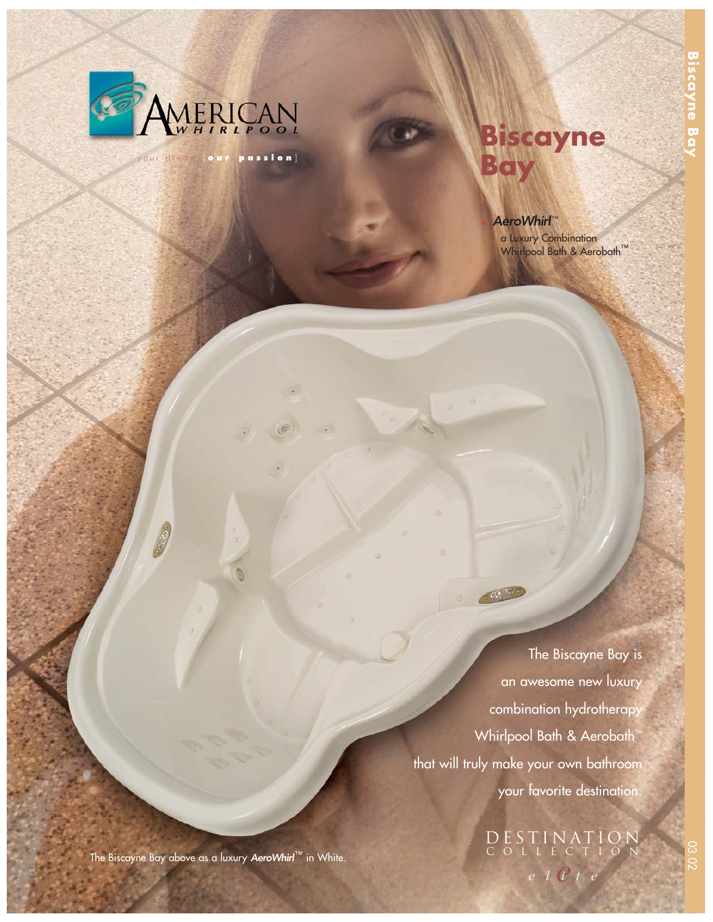

your dream [ **our passion** ]

# **Biscayne Bay**

## AeroWhirl™

a Luxury Combination Whirlpool Bath & Aerobath™

The Biscayne Bay is an awesome new luxury combination hydrotherapy Whirlpool Bath & Aerobath™ that will truly make your own bathroom your favorite destination.

 $\mathcal{C}^{(2)}$ 

*e elite* DESTINATION COLLECTION

The Biscayne Bay above as a luxury AeroWhirl™ in White.

**Biscayne Bay**

cayne b